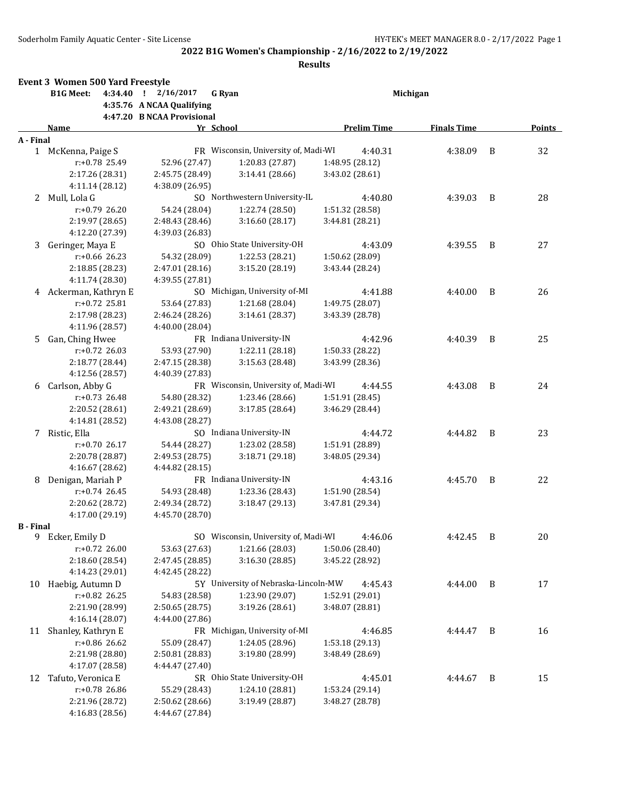|                  | <b>Event 3 Women 500 Yard Freestyle</b> |           |                            |                                      |                    |                    |                |        |
|------------------|-----------------------------------------|-----------|----------------------------|--------------------------------------|--------------------|--------------------|----------------|--------|
|                  | <b>B1G Meet:</b>                        | 4:34.40 ! | 2/16/2017                  | <b>G</b> Ryan                        |                    | Michigan           |                |        |
|                  |                                         |           | 4:35.76 A NCAA Qualifying  |                                      |                    |                    |                |        |
|                  |                                         |           | 4:47.20 B NCAA Provisional |                                      |                    |                    |                |        |
|                  | Name                                    |           | Yr School                  |                                      | <b>Prelim Time</b> | <b>Finals Time</b> |                | Points |
| A - Final        |                                         |           |                            |                                      |                    |                    |                |        |
|                  | 1 McKenna, Paige S                      |           |                            | FR Wisconsin, University of, Madi-WI | 4:40.31            | 4:38.09            | B              | 32     |
|                  | $r: +0.78$ 25.49                        |           | 52.96 (27.47)              | 1:20.83 (27.87)                      | 1:48.95 (28.12)    |                    |                |        |
|                  | 2:17.26 (28.31)                         |           | 2:45.75 (28.49)            | 3:14.41 (28.66)                      | 3:43.02 (28.61)    |                    |                |        |
|                  | 4:11.14 (28.12)                         |           | 4:38.09 (26.95)            |                                      |                    |                    |                |        |
|                  | 2 Mull, Lola G                          |           |                            | SO Northwestern University-IL        | 4:40.80            | 4:39.03            | B              | 28     |
|                  | r:+0.79 26.20                           |           | 54.24 (28.04)              | 1:22.74 (28.50)                      | 1:51.32 (28.58)    |                    |                |        |
|                  | 2:19.97 (28.65)                         |           | 2:48.43 (28.46)            | 3:16.60 (28.17)                      | 3:44.81 (28.21)    |                    |                |        |
|                  | 4:12.20 (27.39)                         |           | 4:39.03 (26.83)            |                                      |                    |                    |                |        |
| 3                | Geringer, Maya E                        |           |                            | SO Ohio State University-OH          | 4:43.09            | 4:39.55            | B              | 27     |
|                  | $r: +0.66$ 26.23                        |           | 54.32 (28.09)              | 1:22.53 (28.21)                      | 1:50.62 (28.09)    |                    |                |        |
|                  | 2:18.85 (28.23)                         |           | 2:47.01 (28.16)            | 3:15.20 (28.19)                      | 3:43.44 (28.24)    |                    |                |        |
|                  | 4:11.74 (28.30)                         |           | 4:39.55 (27.81)            |                                      |                    |                    |                |        |
|                  | 4 Ackerman, Kathryn E                   |           |                            | SO Michigan, University of-MI        | 4:41.88            | 4:40.00            | B              | 26     |
|                  | $r: +0.72$ 25.81                        |           | 53.64 (27.83)              | 1:21.68 (28.04)                      | 1:49.75 (28.07)    |                    |                |        |
|                  | 2:17.98 (28.23)                         |           | 2:46.24 (28.26)            | 3:14.61 (28.37)                      | 3:43.39 (28.78)    |                    |                |        |
|                  | 4:11.96 (28.57)                         |           | 4:40.00 (28.04)            |                                      |                    |                    |                |        |
| 5.               | Gan, Ching Hwee                         |           |                            | FR Indiana University-IN             | 4:42.96            | 4:40.39            | B              | 25     |
|                  | r:+0.72 26.03                           |           | 53.93 (27.90)              | 1:22.11 (28.18)                      | 1:50.33 (28.22)    |                    |                |        |
|                  | 2:18.77 (28.44)                         |           | 2:47.15 (28.38)            | 3:15.63 (28.48)                      | 3:43.99 (28.36)    |                    |                |        |
|                  | 4:12.56 (28.57)                         |           | 4:40.39 (27.83)            |                                      |                    |                    |                |        |
| 6                | Carlson, Abby G                         |           |                            | FR Wisconsin, University of, Madi-WI | 4:44.55            | 4:43.08            | B              | 24     |
|                  | r:+0.73 26.48                           |           | 54.80 (28.32)              | 1:23.46 (28.66)                      | 1:51.91 (28.45)    |                    |                |        |
|                  | 2:20.52 (28.61)                         |           | 2:49.21 (28.69)            | 3:17.85 (28.64)                      | 3:46.29 (28.44)    |                    |                |        |
|                  | 4:14.81 (28.52)                         |           | 4:43.08 (28.27)            |                                      |                    |                    |                |        |
| 7                | Ristic, Ella                            |           |                            | SO Indiana University-IN             | 4:44.72            | 4:44.82            | B              | 23     |
|                  | $r: +0.70$ 26.17                        |           | 54.44 (28.27)              | 1:23.02 (28.58)                      | 1:51.91 (28.89)    |                    |                |        |
|                  | 2:20.78 (28.87)                         |           | 2:49.53 (28.75)            | 3:18.71 (29.18)                      | 3:48.05 (29.34)    |                    |                |        |
|                  | 4:16.67 (28.62)                         |           | 4:44.82 (28.15)            |                                      |                    |                    |                |        |
| 8                | Denigan, Mariah P                       |           |                            | FR Indiana University-IN             | 4:43.16            | 4:45.70            | B              | 22     |
|                  | r:+0.74 26.45                           |           | 54.93 (28.48)              | 1:23.36 (28.43)                      | 1:51.90 (28.54)    |                    |                |        |
|                  | 2:20.62 (28.72)                         |           | 2:49.34 (28.72)            | 3:18.47 (29.13)                      | 3:47.81 (29.34)    |                    |                |        |
|                  | 4:17.00 (29.19)                         |           | 4:45.70 (28.70)            |                                      |                    |                    |                |        |
| <b>B</b> - Final |                                         |           |                            |                                      |                    |                    |                |        |
| 9                | Ecker, Emily D                          |           |                            | SO Wisconsin, University of, Madi-WI | 4:46.06            | 4:42.45            | B              | 20     |
|                  | $r: +0.72$ 26.00                        |           | 53.63 (27.63)              | 1:21.66 (28.03)                      | 1:50.06 (28.40)    |                    |                |        |
|                  | 2:18.60 (28.54)                         |           | 2:47.45 (28.85)            | 3:16.30 (28.85)                      | 3:45.22 (28.92)    |                    |                |        |
|                  | 4:14.23 (29.01)                         |           | 4:42.45 (28.22)            |                                      |                    |                    |                |        |
| 10               | Haebig, Autumn D                        |           |                            | 5Y University of Nebraska-Lincoln-MW | 4:45.43            | 4:44.00            | B              | 17     |
|                  | r:+0.82 26.25                           |           | 54.83 (28.58)              | 1:23.90 (29.07)                      | 1:52.91 (29.01)    |                    |                |        |
|                  | 2:21.90 (28.99)                         |           | 2:50.65 (28.75)            | 3:19.26 (28.61)                      | 3:48.07 (28.81)    |                    |                |        |
|                  | 4:16.14 (28.07)                         |           | 4:44.00 (27.86)            |                                      |                    |                    |                |        |
| 11               | Shanley, Kathryn E                      |           |                            | FR Michigan, University of-MI        | 4:46.85            | 4:44.47            | B              | 16     |
|                  | r:+0.86 26.62                           |           | 55.09 (28.47)              | 1:24.05 (28.96)                      | 1:53.18 (29.13)    |                    |                |        |
|                  | 2:21.98 (28.80)                         |           | 2:50.81 (28.83)            | 3:19.80 (28.99)                      | 3:48.49 (28.69)    |                    |                |        |
|                  | 4:17.07 (28.58)                         |           | 4:44.47 (27.40)            |                                      |                    |                    |                |        |
| 12               | Tafuto, Veronica E                      |           |                            | SR Ohio State University-OH          | 4:45.01            | 4:44.67            | $\overline{B}$ | 15     |
|                  | r:+0.78 26.86                           |           | 55.29 (28.43)              | 1:24.10 (28.81)                      | 1:53.24 (29.14)    |                    |                |        |
|                  | 2:21.96 (28.72)                         |           | 2:50.62 (28.66)            | 3:19.49 (28.87)                      | 3:48.27 (28.78)    |                    |                |        |
|                  | 4:16.83 (28.56)                         |           | 4:44.67 (27.84)            |                                      |                    |                    |                |        |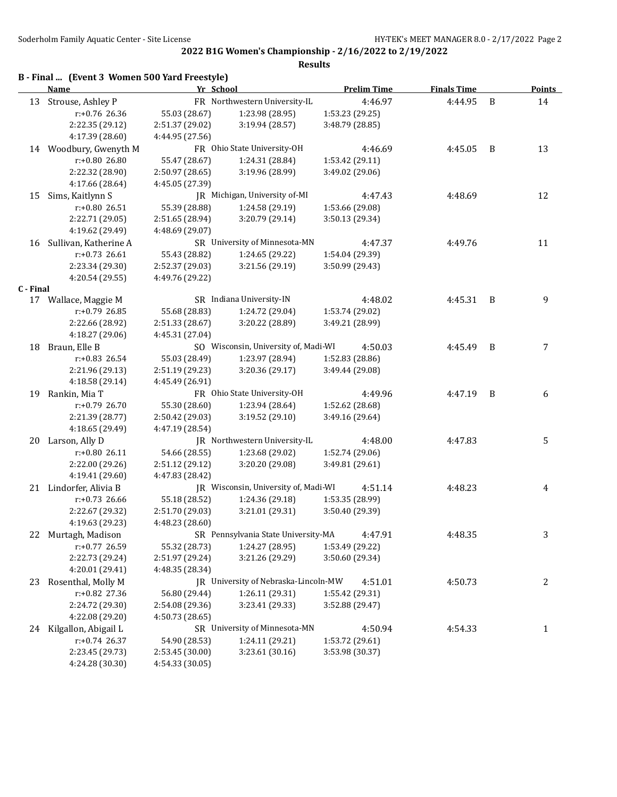|           | B - Final  (Event 3 Women 500 Yard Freestyle) |                 |                                      |                    |                    |   |                  |
|-----------|-----------------------------------------------|-----------------|--------------------------------------|--------------------|--------------------|---|------------------|
|           | <b>Name</b>                                   | Yr School       |                                      | <b>Prelim Time</b> | <b>Finals Time</b> |   | <b>Points</b>    |
| 13        | Strouse, Ashley P                             |                 | FR Northwestern University-IL        | 4:46.97            | 4:44.95            | B | 14               |
|           | r:+0.76 26.36                                 | 55.03 (28.67)   | 1:23.98 (28.95)                      | 1:53.23 (29.25)    |                    |   |                  |
|           | 2:22.35 (29.12)                               | 2:51.37 (29.02) | 3:19.94 (28.57)                      | 3:48.79 (28.85)    |                    |   |                  |
|           | 4:17.39 (28.60)                               | 4:44.95 (27.56) |                                      |                    |                    |   |                  |
|           | 14 Woodbury, Gwenyth M                        |                 | FR Ohio State University-OH          | 4:46.69            | 4:45.05            | B | 13               |
|           | r:+0.80 26.80                                 | 55.47 (28.67)   | 1:24.31 (28.84)                      | 1:53.42 (29.11)    |                    |   |                  |
|           | 2:22.32 (28.90)                               | 2:50.97 (28.65) | 3:19.96 (28.99)                      | 3:49.02 (29.06)    |                    |   |                  |
|           | 4:17.66 (28.64)                               | 4:45.05 (27.39) |                                      |                    |                    |   |                  |
| 15        | Sims, Kaitlynn S                              |                 | JR Michigan, University of-MI        | 4:47.43            | 4:48.69            |   | 12               |
|           | r:+0.80 26.51                                 | 55.39 (28.88)   | 1:24.58 (29.19)                      | 1:53.66 (29.08)    |                    |   |                  |
|           | 2:22.71 (29.05)                               | 2:51.65 (28.94) | 3:20.79 (29.14)                      | 3:50.13 (29.34)    |                    |   |                  |
|           | 4:19.62 (29.49)                               | 4:48.69 (29.07) |                                      |                    |                    |   |                  |
| 16        | Sullivan, Katherine A                         |                 | SR University of Minnesota-MN        | 4:47.37            | 4:49.76            |   | 11               |
|           | $r: +0.73$ 26.61                              | 55.43 (28.82)   | 1:24.65 (29.22)                      | 1:54.04 (29.39)    |                    |   |                  |
|           | 2:23.34 (29.30)                               | 2:52.37 (29.03) | 3:21.56 (29.19)                      | 3:50.99 (29.43)    |                    |   |                  |
|           | 4:20.54 (29.55)                               | 4:49.76 (29.22) |                                      |                    |                    |   |                  |
| C - Final |                                               |                 |                                      |                    |                    |   |                  |
|           | 17 Wallace, Maggie M                          |                 | SR Indiana University-IN             | 4:48.02            | 4:45.31            | B | 9                |
|           | $r: +0.79$ 26.85                              | 55.68 (28.83)   | 1:24.72 (29.04)                      | 1:53.74 (29.02)    |                    |   |                  |
|           | 2:22.66 (28.92)                               | 2:51.33 (28.67) | 3:20.22 (28.89)                      | 3:49.21 (28.99)    |                    |   |                  |
|           | 4:18.27 (29.06)                               | 4:45.31 (27.04) |                                      |                    |                    |   |                  |
| 18        | Braun, Elle B                                 |                 | SO Wisconsin, University of, Madi-WI | 4:50.03            | 4:45.49            | B | 7                |
|           | $r: +0.83$ 26.54                              | 55.03 (28.49)   | 1:23.97 (28.94)                      | 1:52.83 (28.86)    |                    |   |                  |
|           | 2:21.96 (29.13)                               | 2:51.19 (29.23) | 3:20.36(29.17)                       | 3:49.44 (29.08)    |                    |   |                  |
|           | 4:18.58 (29.14)                               | 4:45.49 (26.91) |                                      |                    |                    |   |                  |
|           | 19 Rankin, Mia T                              |                 | FR Ohio State University-OH          | 4:49.96            | 4:47.19            | B | 6                |
|           | r:+0.79 26.70                                 | 55.30 (28.60)   | 1:23.94 (28.64)                      | 1:52.62 (28.68)    |                    |   |                  |
|           | 2:21.39 (28.77)                               | 2:50.42 (29.03) | 3:19.52 (29.10)                      | 3:49.16 (29.64)    |                    |   |                  |
|           | 4:18.65 (29.49)                               | 4:47.19 (28.54) |                                      |                    |                    |   |                  |
|           | 20 Larson, Ally D                             |                 | JR Northwestern University-IL        | 4:48.00            | 4:47.83            |   | 5                |
|           | $r: +0.80$ 26.11                              | 54.66 (28.55)   | 1:23.68 (29.02)                      | 1:52.74 (29.06)    |                    |   |                  |
|           | 2:22.00 (29.26)                               | 2:51.12 (29.12) | 3:20.20 (29.08)                      | 3:49.81 (29.61)    |                    |   |                  |
|           | 4:19.41 (29.60)                               | 4:47.83 (28.42) |                                      |                    |                    |   |                  |
|           | 21 Lindorfer, Alivia B                        |                 | JR Wisconsin, University of, Madi-WI | 4:51.14            | 4:48.23            |   | 4                |
|           | $r: +0.73$ 26.66                              | 55.18 (28.52)   | 1:24.36 (29.18)                      | 1:53.35 (28.99)    |                    |   |                  |
|           | 2:22.67 (29.32)                               | 2:51.70 (29.03) | 3:21.01 (29.31)                      | 3:50.40 (29.39)    |                    |   |                  |
|           | 4:19.63 (29.23)                               | 4:48.23 (28.60) |                                      |                    |                    |   |                  |
|           | 22 Murtagh, Madison                           |                 | SR Pennsylvania State University-MA  | 4:47.91            | 4:48.35            |   | 3                |
|           | r:+0.77 26.59                                 | 55.32 (28.73)   | 1:24.27 (28.95)                      | 1:53.49 (29.22)    |                    |   |                  |
|           | 2:22.73 (29.24)                               | 2:51.97 (29.24) | 3:21.26 (29.29)                      | 3:50.60 (29.34)    |                    |   |                  |
|           | 4:20.01 (29.41)                               | 4:48.35 (28.34) |                                      |                    |                    |   |                  |
| 23        | Rosenthal, Molly M                            |                 | JR University of Nebraska-Lincoln-MW | 4:51.01            | 4:50.73            |   | $\boldsymbol{2}$ |
|           | r:+0.82 27.36                                 | 56.80 (29.44)   | 1:26.11 (29.31)                      | 1:55.42 (29.31)    |                    |   |                  |
|           | 2:24.72 (29.30)                               | 2:54.08 (29.36) | 3:23.41 (29.33)                      | 3:52.88 (29.47)    |                    |   |                  |
|           | 4:22.08 (29.20)                               | 4:50.73 (28.65) |                                      |                    |                    |   |                  |
|           | 24 Kilgallon, Abigail L                       |                 | SR University of Minnesota-MN        | 4:50.94            | 4:54.33            |   | $\mathbf{1}$     |
|           | r:+0.74 26.37                                 | 54.90 (28.53)   | 1:24.11 (29.21)                      | 1:53.72 (29.61)    |                    |   |                  |
|           | 2:23.45 (29.73)                               | 2:53.45 (30.00) | 3:23.61(30.16)                       | 3:53.98 (30.37)    |                    |   |                  |
|           | 4:24.28 (30.30)                               | 4:54.33 (30.05) |                                      |                    |                    |   |                  |
|           |                                               |                 |                                      |                    |                    |   |                  |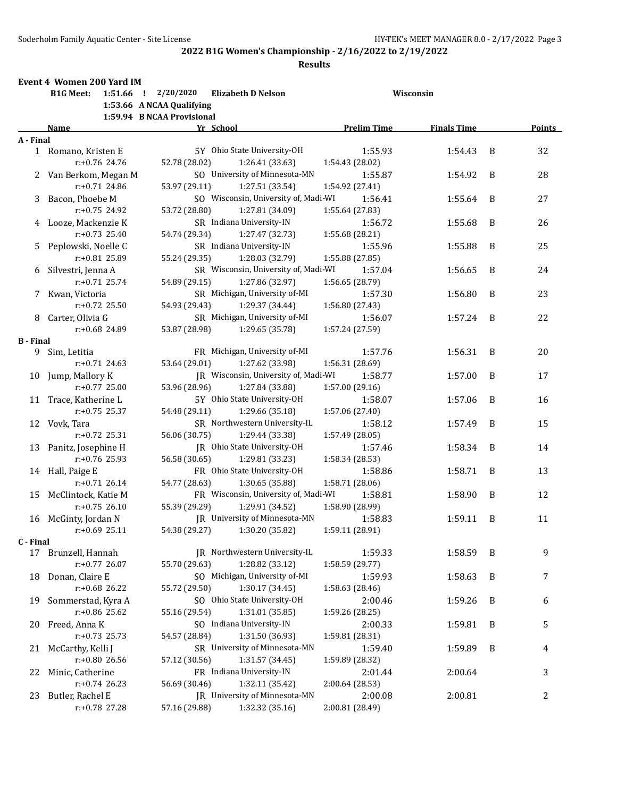**Results**

# **Event 4 Women 200 Yard IM**

|                       | <b>B1G Meet:</b>                       | $1:51.66$ ! $2/20/2020$<br><b>Elizabeth D Nelson</b>  |                            | Wisconsin          |   |               |
|-----------------------|----------------------------------------|-------------------------------------------------------|----------------------------|--------------------|---|---------------|
|                       |                                        | 1:53.66 A NCAA Qualifying                             |                            |                    |   |               |
|                       |                                        | 1:59.94 B NCAA Provisional                            |                            |                    |   |               |
|                       | Name                                   | Yr School                                             | <b>Prelim Time</b>         | <b>Finals Time</b> |   | <b>Points</b> |
| A - Final             |                                        |                                                       |                            |                    |   |               |
|                       | 1 Romano, Kristen E                    | 5Y Ohio State University-OH                           | 1:55.93                    | 1:54.43            | B | 32            |
|                       | r:+0.76 24.76                          | 52.78 (28.02)<br>1:26.41 (33.63)                      | 1:54.43 (28.02)            |                    |   |               |
|                       | 2 Van Berkom, Megan M<br>r:+0.71 24.86 | SO University of Minnesota-MN                         | 1:55.87                    | 1:54.92            | B | 28            |
|                       |                                        | 53.97 (29.11)<br>1:27.51 (33.54)                      | 1:54.92 (27.41)            |                    |   |               |
| 3                     | Bacon, Phoebe M                        | SO Wisconsin, University of, Madi-WI<br>53.72 (28.80) | 1:56.41                    | 1:55.64            | B | 27            |
|                       | r:+0.75 24.92                          | 1:27.81 (34.09)                                       | 1:55.64 (27.83)<br>1:56.72 |                    |   |               |
|                       | 4 Looze, Mackenzie K                   | SR Indiana University-IN<br>54.74 (29.34)             |                            | 1:55.68            | B | 26            |
|                       | $r: +0.73$ 25.40                       | 1:27.47 (32.73)                                       | 1:55.68 (28.21)            |                    |   |               |
| 5                     | Peplowski, Noelle C                    | SR Indiana University-IN                              | 1:55.96                    | 1:55.88            | B | 25            |
|                       | r:+0.81 25.89                          | 55.24 (29.35)<br>1:28.03 (32.79)                      | 1:55.88 (27.85)            |                    |   |               |
| 6                     | Silvestri, Jenna A                     | SR Wisconsin, University of, Madi-WI                  | 1:57.04                    | 1:56.65            | B | 24            |
|                       | $r: +0.71$ 25.74                       | 54.89 (29.15)<br>1:27.86 (32.97)                      | 1:56.65 (28.79)            |                    |   |               |
| 7.                    | Kwan, Victoria                         | SR Michigan, University of-MI                         | 1:57.30                    | 1:56.80            | B | 23            |
|                       | r:+0.72 25.50                          | 54.93 (29.43)<br>1:29.37 (34.44)                      | 1:56.80 (27.43)            |                    |   |               |
| 8                     | Carter, Olivia G                       | SR Michigan, University of-MI                         | 1:56.07                    | 1:57.24            | B | 22            |
|                       | r:+0.68 24.89                          | 53.87 (28.98)<br>1:29.65 (35.78)                      | 1:57.24 (27.59)            |                    |   |               |
| <b>B</b> - Final<br>9 | Sim, Letitia                           | FR Michigan, University of-MI                         | 1:57.76                    | 1:56.31            | B | 20            |
|                       | $r: +0.71$ 24.63                       | 1:27.62 (33.98)<br>53.64 (29.01)                      | 1:56.31 (28.69)            |                    |   |               |
| 10                    | Jump, Mallory K                        | JR Wisconsin, University of, Madi-WI                  | 1:58.77                    | 1:57.00            | B | 17            |
|                       | $r: +0.77$ 25.00                       | 53.96 (28.96)<br>1:27.84 (33.88)                      | 1:57.00 (29.16)            |                    |   |               |
| 11                    | Trace, Katherine L                     | 5Y Ohio State University-OH                           | 1:58.07                    | 1:57.06            | B | 16            |
|                       | $r: +0.75$ 25.37                       | 1:29.66 (35.18)<br>54.48 (29.11)                      | 1:57.06 (27.40)            |                    |   |               |
|                       | 12 Vovk, Tara                          | SR Northwestern University-IL                         | 1:58.12                    | 1:57.49            | B | 15            |
|                       | $r: +0.72$ 25.31                       | 1:29.44 (33.38)<br>56.06 (30.75)                      | 1:57.49 (28.05)            |                    |   |               |
|                       | 13 Panitz, Josephine H                 | JR Ohio State University-OH                           | 1:57.46                    | 1:58.34            | B | 14            |
|                       | r:+0.76 25.93                          | 56.58 (30.65)<br>1:29.81 (33.23)                      | 1:58.34 (28.53)            |                    |   |               |
|                       | 14 Hall, Paige E                       | FR Ohio State University-OH                           | 1:58.86                    | 1:58.71            | B | 13            |
|                       | $r: +0.71$ 26.14                       | 54.77 (28.63)<br>1:30.65 (35.88)                      | 1:58.71 (28.06)            |                    |   |               |
| 15                    | McClintock, Katie M                    | FR Wisconsin, University of, Madi-WI                  | 1:58.81                    | 1:58.90            | B | 12            |
|                       | $r: +0.75$ 26.10                       | 55.39 (29.29)<br>1:29.91 (34.52)                      | 1:58.90 (28.99)            |                    |   |               |
| 16                    | McGinty, Jordan N                      | JR University of Minnesota-MN                         | 1:58.83                    | 1:59.11            | B | 11            |
|                       | $r: +0.69$ 25.11                       | 54.38 (29.27)<br>1:30.20 (35.82)                      | 1:59.11 (28.91)            |                    |   |               |
| C - Final             |                                        |                                                       |                            |                    |   |               |
|                       | 17 Brunzell, Hannah                    | IR Northwestern University-IL                         | 1:59.33                    | 1:58.59            | B | 9             |
|                       | $r: +0.77$ 26.07                       | 55.70 (29.63)<br>1:28.82 (33.12)                      | 1:58.59 (29.77)            |                    |   |               |
| 18                    | Donan, Claire E                        | SO Michigan, University of-MI                         | 1:59.93                    | 1:58.63            | B | 7             |
|                       | $r: +0.68$ 26.22                       | 55.72 (29.50)<br>1:30.17 (34.45)                      | 1:58.63 (28.46)            |                    |   |               |
| 19                    | Sommerstad, Kyra A                     | SO Ohio State University-OH                           | 2:00.46                    | 1:59.26            | B | 6             |
|                       | $r: +0.86$ 25.62                       | 1:31.01 (35.85)<br>55.16 (29.54)                      | 1:59.26 (28.25)            |                    |   |               |
|                       | 20 Freed, Anna K                       | SO Indiana University-IN                              | 2:00.33                    | 1:59.81            | B | 5             |
|                       | $r: +0.73$ 25.73                       | 1:31.50 (36.93)<br>54.57 (28.84)                      | 1:59.81 (28.31)            |                    |   |               |
| 21                    | McCarthy, Kelli J                      | SR University of Minnesota-MN                         | 1:59.40                    | 1:59.89            | B | 4             |
|                       | $r: +0.80$ 26.56                       | 1:31.57 (34.45)<br>57.12 (30.56)                      | 1:59.89 (28.32)            |                    |   |               |
| 22                    | Minic, Catherine                       | FR Indiana University-IN                              | 2:01.44                    | 2:00.64            |   | 3             |
|                       | $r: +0.74$ 26.23                       | 56.69 (30.46)<br>1:32.11 (35.42)                      | 2:00.64 (28.53)            |                    |   |               |
| 23                    | Butler, Rachel E                       | JR University of Minnesota-MN                         | 2:00.08                    | 2:00.81            |   | 2             |
|                       | r:+0.78 27.28                          | 57.16 (29.88)<br>1:32.32 (35.16)                      | 2:00.81 (28.49)            |                    |   |               |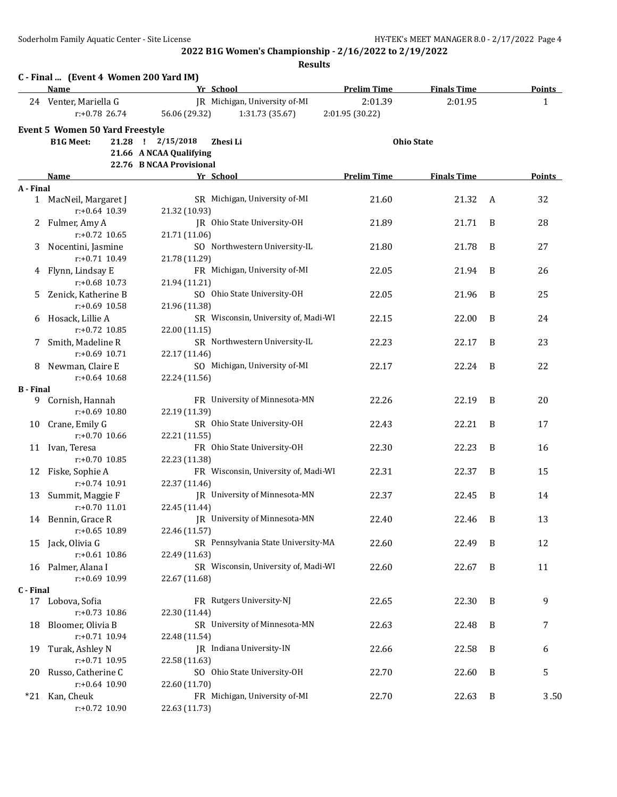|                  | C - Final  (Event 4 Women 200 Yard IM)<br>Name | Yr School                            | <b>Prelim Time</b> | <b>Finals Time</b> |   | <b>Points</b> |
|------------------|------------------------------------------------|--------------------------------------|--------------------|--------------------|---|---------------|
|                  | 24 Venter, Mariella G                          | JR Michigan, University of-MI        | 2:01.39            | 2:01.95            |   | 1             |
|                  | $r: +0.78$ 26.74                               | 56.06 (29.32)<br>1:31.73 (35.67)     | 2:01.95 (30.22)    |                    |   |               |
|                  | Event 5 Women 50 Yard Freestyle                |                                      |                    |                    |   |               |
|                  | <b>B1G Meet:</b>                               | 21.28 ! 2/15/2018<br>Zhesi Li        |                    | <b>Ohio State</b>  |   |               |
|                  |                                                | 21.66 A NCAA Qualifying              |                    |                    |   |               |
|                  |                                                | 22.76 B NCAA Provisional             |                    |                    |   |               |
|                  | Name                                           | Yr School                            | <b>Prelim Time</b> | <b>Finals Time</b> |   | Points        |
| A - Final        |                                                |                                      |                    |                    |   |               |
|                  | 1 MacNeil, Margaret J                          | SR Michigan, University of-MI        | 21.60              | 21.32              | A | 32            |
|                  | $r: +0.64$ 10.39                               | 21.32 (10.93)                        |                    |                    |   |               |
|                  | 2 Fulmer, Amy A                                | JR Ohio State University-OH          | 21.89              | 21.71              | B | 28            |
|                  | $r: +0.72$ 10.65                               | 21.71 (11.06)                        |                    |                    |   |               |
| 3                | Nocentini, Jasmine                             | SO Northwestern University-IL        | 21.80              | 21.78              | B | 27            |
|                  | $r: +0.71$ 10.49                               | 21.78 (11.29)                        |                    |                    |   |               |
|                  | 4 Flynn, Lindsay E                             | FR Michigan, University of-MI        | 22.05              | 21.94              | B | 26            |
|                  | $r: +0.68$ 10.73                               | 21.94 (11.21)                        |                    |                    |   |               |
| 5.               | Zenick, Katherine B                            | SO Ohio State University-OH          | 22.05              | 21.96              | B | 25            |
|                  | $r: +0.69$ 10.58                               | 21.96 (11.38)                        |                    |                    |   |               |
|                  | 6 Hosack, Lillie A                             | SR Wisconsin, University of, Madi-WI | 22.15              | 22.00              | B | 24            |
|                  | $r: +0.72$ 10.85                               | 22.00 (11.15)                        |                    |                    |   |               |
|                  | 7 Smith, Madeline R                            | SR Northwestern University-IL        | 22.23              | 22.17              | B | 23            |
|                  | $r: +0.69$ 10.71                               | 22.17 (11.46)                        |                    |                    |   |               |
| 8                | Newman, Claire E                               | SO Michigan, University of-MI        | 22.17              | 22.24              | B | 22            |
|                  | $r: +0.64$ 10.68                               | 22.24 (11.56)                        |                    |                    |   |               |
| <b>B</b> - Final |                                                |                                      |                    |                    |   |               |
|                  | 9 Cornish, Hannah                              | FR University of Minnesota-MN        | 22.26              | 22.19              | B | 20            |
|                  | r:+0.69 10.80                                  | 22.19 (11.39)                        |                    |                    |   |               |
|                  | 10 Crane, Emily G                              | SR Ohio State University-OH          | 22.43              | 22.21              | B | 17            |
|                  | $r: +0.70$ 10.66                               | 22.21 (11.55)                        |                    |                    |   |               |
|                  | 11 Ivan, Teresa                                | FR Ohio State University-OH          | 22.30              | 22.23              | B | 16            |
|                  | $r: +0.70$ 10.85                               | 22.23 (11.38)                        |                    |                    |   |               |
| 12               | Fiske, Sophie A                                | FR Wisconsin, University of, Madi-WI | 22.31              | 22.37              | B | 15            |
|                  | $r: +0.74$ 10.91                               | 22.37 (11.46)                        |                    |                    |   |               |
|                  | 13 Summit, Maggie F                            | JR University of Minnesota-MN        | 22.37              | 22.45              | B | 14            |
|                  | $r: +0.70$ 11.01                               | 22.45 (11.44)                        |                    |                    |   |               |
|                  | 14 Bennin, Grace R                             | JR University of Minnesota-MN        | 22.40              | 22.46              | B | 13            |
|                  | r:+0.65 10.89                                  | 22.46 (11.57)                        |                    |                    |   |               |
|                  | 15 Jack, Olivia G                              | SR Pennsylvania State University-MA  | 22.60              | 22.49              | B | 12            |
|                  | r:+0.61 10.86                                  | 22.49 (11.63)                        |                    |                    |   |               |
|                  | 16 Palmer, Alana I                             | SR Wisconsin, University of, Madi-WI | 22.60              | 22.67              | B | 11            |
|                  | r:+0.69 10.99                                  | 22.67 (11.68)                        |                    |                    |   |               |
| C - Final        | 17 Lobova, Sofia                               | FR Rutgers University-NJ             | 22.65              | 22.30              | B | 9             |
|                  | r:+0.73 10.86                                  | 22.30 (11.44)                        |                    |                    |   |               |
| 18               | Bloomer, Olivia B                              | SR University of Minnesota-MN        | 22.63              | 22.48              | B | 7             |
|                  | r:+0.71 10.94                                  | 22.48 (11.54)                        |                    |                    |   |               |
| 19               | Turak, Ashley N                                | JR Indiana University-IN             | 22.66              | 22.58              | B | 6             |
|                  | r:+0.71 10.95                                  | 22.58 (11.63)                        |                    |                    |   |               |
| 20               | Russo, Catherine C                             | SO Ohio State University-OH          | 22.70              | 22.60              | B | 5             |
|                  | r:+0.64 10.90                                  | 22.60 (11.70)                        |                    |                    |   |               |
|                  | *21 Kan, Cheuk                                 | FR Michigan, University of-MI        | 22.70              | 22.63              | B | 3.50          |
|                  | r:+0.72 10.90                                  | 22.63 (11.73)                        |                    |                    |   |               |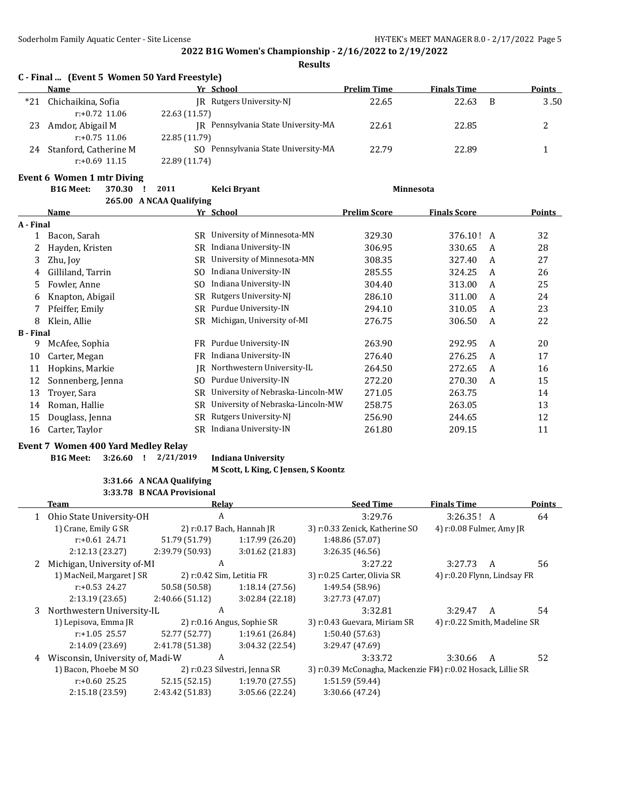**Results**

|       | C - Final  (Event 5 Women 50 Yard Freestyle) |                                     |                    |                    |               |
|-------|----------------------------------------------|-------------------------------------|--------------------|--------------------|---------------|
|       | <b>Name</b>                                  | Yr School                           | <b>Prelim Time</b> | <b>Finals Time</b> | <b>Points</b> |
| $*21$ | Chichaikina, Sofia                           | <b>IR</b> Rutgers University-NJ     | 22.65              | 22.63<br>B         | 3.50          |
|       | $r: +0.72$ 11.06                             | 22.63 (11.57)                       |                    |                    |               |
| 23    | Amdor, Abigail M                             | IR Pennsylvania State University-MA | 22.61              | 22.85              |               |
|       | $r: +0.75$ 11.06                             | 22.85 (11.79)                       |                    |                    |               |
| 24    | Stanford, Catherine M                        | SO Pennsylvania State University-MA | 22.79              | 22.89              |               |
|       | $r: +0.69$ 11.15                             | 22.89 (11.74)                       |                    |                    |               |

#### **Event 6 Women 1 mtr Diving**

|                  | <b>B1G Meet:</b><br>370.30 | 2011                     | Kelci Bryant                      | Minnesota           |                     |               |  |
|------------------|----------------------------|--------------------------|-----------------------------------|---------------------|---------------------|---------------|--|
|                  |                            | 265.00 A NCAA Qualifying |                                   |                     |                     |               |  |
|                  | Name                       |                          | Yr School                         | <b>Prelim Score</b> | <b>Finals Score</b> | <b>Points</b> |  |
| A - Final        |                            |                          |                                   |                     |                     |               |  |
| 1                | Bacon, Sarah               | SR                       | University of Minnesota-MN        | 329.30              | 376.10! A           | 32            |  |
| 2                | Hayden, Kristen            | <b>SR</b>                | Indiana University-IN             | 306.95              | 330.65              | 28<br>A       |  |
| 3                | Zhu, Joy                   | SR                       | University of Minnesota-MN        | 308.35              | 327.40              | 27<br>A       |  |
| 4                | Gilliland, Tarrin          | SO.                      | Indiana University-IN             | 285.55              | 324.25              | 26<br>A       |  |
| 5                | Fowler, Anne               | SO.                      | Indiana University-IN             | 304.40              | 313.00              | 25<br>A       |  |
| 6                | Knapton, Abigail           | <b>SR</b>                | Rutgers University-NJ             | 286.10              | 311.00              | 24<br>A       |  |
|                  | Pfeiffer, Emily            | <b>SR</b>                | Purdue University-IN              | 294.10              | 310.05              | 23<br>A       |  |
| 8                | Klein, Allie               | <b>SR</b>                | Michigan, University of-MI        | 276.75              | 306.50              | 22<br>A       |  |
| <b>B</b> - Final |                            |                          |                                   |                     |                     |               |  |
| 9                | McAfee, Sophia             | FR                       | Purdue University-IN              | 263.90              | 292.95              | 20<br>A       |  |
| 10               | Carter, Megan              | FR.                      | Indiana University-IN             | 276.40              | 276.25              | 17<br>A       |  |
| 11               | Hopkins, Markie            | IR                       | Northwestern University-IL        | 264.50              | 272.65              | 16<br>A       |  |
| 12               | Sonnenberg, Jenna          | SO.                      | Purdue University-IN              | 272.20              | 270.30              | 15<br>A       |  |
| 13               | Troyer, Sara               | SR                       | University of Nebraska-Lincoln-MW | 271.05              | 263.75              | 14            |  |
| 14               | Roman, Hallie              | <b>SR</b>                | University of Nebraska-Lincoln-MW | 258.75              | 263.05              | 13            |  |
| 15               | Douglass, Jenna            | SR                       | Rutgers University-NJ             | 256.90              | 244.65              | 12            |  |
| 16               | Carter, Taylor             | SR                       | Indiana University-IN             | 261.80              | 209.15              | 11            |  |
|                  |                            |                          |                                   |                     |                     |               |  |

#### **Event 7 Women 400 Yard Medley Relay**

**B1G Meet: 3:26.60 ! 2/21/2019 Indiana University**

**M Scott, L King, C Jensen, S Koontz**

#### **3:31.66 A NCAA Qualifying 3:33.78 B NCAA Provisional**

|    | Team                             | Relav           |                               | <b>Seed Time</b>                                             | <b>Finals Time</b>           |   | Points |
|----|----------------------------------|-----------------|-------------------------------|--------------------------------------------------------------|------------------------------|---|--------|
|    | 1 Ohio State University-OH       | A               |                               | 3:29.76                                                      | 3:26.35! A                   |   | 64     |
|    | 1) Crane, Emily G SR             |                 | 2) r:0.17 Bach, Hannah JR     | 3) r:0.33 Zenick, Katherine SO                               | 4) r:0.08 Fulmer, Amy JR     |   |        |
|    | $r: +0.61$ 24.71                 | 51.79 (51.79)   | 1:17.99 (26.20)               | 1:48.86 (57.07)                                              |                              |   |        |
|    | 2:12.13(23.27)                   | 2:39.79 (50.93) | 3:01.62 (21.83)               | 3:26.35(46.56)                                               |                              |   |        |
|    | Michigan, University of-MI       | A               |                               | 3:27.22                                                      | 3:27.73                      | A | 56     |
|    | 1) MacNeil, Margaret J SR        |                 | 2) r:0.42 Sim, Letitia FR     | 3) r:0.25 Carter, Olivia SR                                  | 4) r:0.20 Flynn, Lindsay FR  |   |        |
|    | $r: +0.53$ 24.27                 | 50.58 (50.58)   | 1:18.14(27.56)                | 1:49.54 (58.96)                                              |                              |   |        |
|    | 2:13.19 (23.65)                  | 2:40.66(51.12)  | 3:02.84 (22.18)               | 3:27.73 (47.07)                                              |                              |   |        |
| 3. | Northwestern University-IL       | A               |                               | 3:32.81                                                      | 3:29.47                      | A | 54     |
|    | 1) Lepisova, Emma JR             |                 | 2) r:0.16 Angus, Sophie SR    | 3) r:0.43 Guevara, Miriam SR                                 | 4) r:0.22 Smith, Madeline SR |   |        |
|    | $r: +1.05$ 25.57                 | 52.77 (52.77)   | 1:19.61 (26.84)               | 1:50.40(57.63)                                               |                              |   |        |
|    | 2:14.09(23.69)                   | 2:41.78 (51.38) | 3:04.32(22.54)                | 3:29.47 (47.69)                                              |                              |   |        |
| 4  | Wisconsin, University of, Madi-W | A               |                               | 3:33.72                                                      | 3:30.66                      | А | 52     |
|    | 1) Bacon, Phoebe M SO            |                 | 2) r:0.23 Silvestri, Jenna SR | 3) r:0.39 McConagha, Mackenzie Fl4) r:0.02 Hosack, Lillie SR |                              |   |        |
|    | $r: +0.60$ 25.25                 | 52.15 (52.15)   | 1:19.70(27.55)                | 1:51.59 (59.44)                                              |                              |   |        |
|    | 2:15.18 (23.59)                  | 2:43.42 (51.83) | 3:05.66 (22.24)               | 3:30.66 (47.24)                                              |                              |   |        |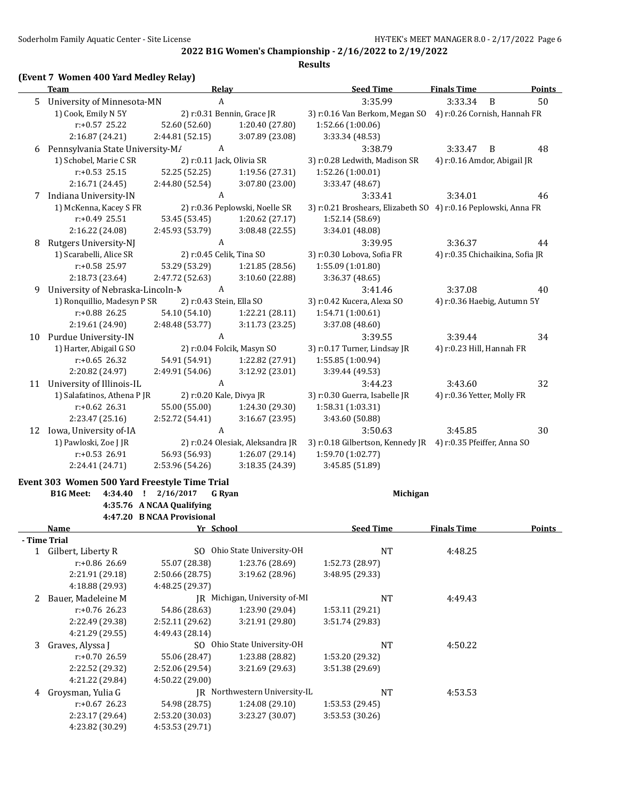|    | <b>Team</b>                                   |                            | <b>Relay</b>                     | <b>Seed Time</b>                                               | <b>Finals Time</b>              | <b>Points</b> |
|----|-----------------------------------------------|----------------------------|----------------------------------|----------------------------------------------------------------|---------------------------------|---------------|
| 5. | University of Minnesota-MN                    |                            | A                                | 3:35.99                                                        | 3:33.34<br>B                    | 50            |
|    | 1) Cook, Emily N 5Y                           |                            | 2) r:0.31 Bennin, Grace JR       | 3) r:0.16 Van Berkom, Megan SO 4) r:0.26 Cornish, Hannah FR    |                                 |               |
|    | r:+0.57 25.22                                 | 52.60 (52.60)              | 1:20.40 (27.80)                  | 1:52.66 (1:00.06)                                              |                                 |               |
|    | 2:16.87 (24.21)                               | 2:44.81 (52.15)            | 3:07.89 (23.08)                  | 3:33.34 (48.53)                                                |                                 |               |
| 6  | Pennsylvania State University-M/              |                            | A                                | 3:38.79                                                        | 3:33.47<br>B                    | 48            |
|    | 1) Schobel, Marie C SR                        |                            | 2) r:0.11 Jack, Olivia SR        | 3) r:0.28 Ledwith, Madison SR                                  | 4) r:0.16 Amdor, Abigail JR     |               |
|    | $r: +0.53$ 25.15                              | 52.25 (52.25)              | 1:19.56 (27.31)                  | 1:52.26 (1:00.01)                                              |                                 |               |
|    | 2:16.71 (24.45)                               | 2:44.80 (52.54)            | 3:07.80 (23.00)                  | 3:33.47 (48.67)                                                |                                 |               |
| 7  | Indiana University-IN                         |                            | A                                | 3:33.41                                                        | 3:34.01                         | 46            |
|    | 1) McKenna, Kacey S FR                        |                            | 2) r:0.36 Peplowski, Noelle SR   | 3) r:0.21 Broshears, Elizabeth SO 4) r:0.16 Peplowski, Anna FR |                                 |               |
|    | $r: +0.49$ 25.51                              | 53.45 (53.45)              | 1:20.62 (27.17)                  | 1:52.14 (58.69)                                                |                                 |               |
|    | 2:16.22 (24.08)                               | 2:45.93 (53.79)            | 3:08.48 (22.55)                  | 3:34.01 (48.08)                                                |                                 |               |
| 8  | Rutgers University-NJ                         |                            | A                                | 3:39.95                                                        | 3:36.37                         | 44            |
|    | 1) Scarabelli, Alice SR                       |                            | 2) r:0.45 Celik, Tina SO         | 3) r:0.30 Lobova, Sofia FR                                     | 4) r:0.35 Chichaikina, Sofia JR |               |
|    | r:+0.58 25.97                                 | 53.29 (53.29)              | 1:21.85 (28.56)                  | 1:55.09 (1:01.80)                                              |                                 |               |
|    | 2:18.73 (23.64)                               | 2:47.72 (52.63)            | 3:10.60 (22.88)                  | 3:36.37 (48.65)                                                |                                 |               |
| 9  | University of Nebraska-Lincoln-M              |                            | A                                | 3:41.46                                                        | 3:37.08                         | 40            |
|    | 1) Ronquillio, Madesyn P SR                   |                            | 2) r:0.43 Stein, Ella SO         | 3) r:0.42 Kucera, Alexa SO                                     | 4) r:0.36 Haebig, Autumn 5Y     |               |
|    | r:+0.88 26.25                                 | 54.10 (54.10)              | 1:22.21 (28.11)                  | 1:54.71 (1:00.61)                                              |                                 |               |
|    | 2:19.61 (24.90)                               | 2:48.48 (53.77)            | 3:11.73 (23.25)                  | 3:37.08 (48.60)                                                |                                 |               |
|    | 10 Purdue University-IN                       |                            | A                                | 3:39.55                                                        | 3:39.44                         | 34            |
|    | 1) Harter, Abigail G SO                       |                            | 2) r:0.04 Folcik, Masyn SO       | 3) r:0.17 Turner, Lindsay JR                                   | 4) r:0.23 Hill, Hannah FR       |               |
|    | $r: +0.65$ 26.32                              | 54.91 (54.91)              | 1:22.82 (27.91)                  | 1:55.85 (1:00.94)                                              |                                 |               |
|    | 2:20.82 (24.97)                               | 2:49.91 (54.06)            | 3:12.92 (23.01)                  | 3:39.44 (49.53)                                                |                                 |               |
| 11 | University of Illinois-IL                     |                            | A                                | 3:44.23                                                        | 3:43.60                         | 32            |
|    | 1) Salafatinos, Athena P JR                   |                            | 2) r:0.20 Kale, Divya JR         | 3) r:0.30 Guerra, Isabelle JR                                  | 4) r:0.36 Yetter, Molly FR      |               |
|    | $r: +0.62$ 26.31                              | 55.00 (55.00)              | 1:24.30 (29.30)                  | 1:58.31 (1:03.31)                                              |                                 |               |
|    | 2:23.47 (25.16)                               | 2:52.72 (54.41)            | 3:16.67 (23.95)                  | 3:43.60 (50.88)                                                |                                 |               |
| 12 | Iowa, University of-IA                        |                            | A                                | 3:50.63                                                        | 3:45.85                         | 30            |
|    | 1) Pawloski, Zoe J JR                         |                            | 2) r:0.24 Olesiak, Aleksandra JR | 3) r:0.18 Gilbertson, Kennedy JR 4) r:0.35 Pfeiffer, Anna SO   |                                 |               |
|    | $r: +0.53$ 26.91                              | 56.93 (56.93)              | 1:26.07 (29.14)                  | 1:59.70 (1:02.77)                                              |                                 |               |
|    | 2:24.41 (24.71)                               | 2:53.96 (54.26)            | 3:18.35 (24.39)                  | 3:45.85 (51.89)                                                |                                 |               |
|    | Event 303 Women 500 Yard Freestyle Time Trial |                            |                                  |                                                                |                                 |               |
|    | <b>B1G Meet:</b><br>4:34.40                   | $\frac{1}{2}$ 2/16/2017    | <b>G</b> Ryan                    | Michigan                                                       |                                 |               |
|    |                                               | 4:35.76 A NCAA Qualifying  |                                  |                                                                |                                 |               |
|    |                                               | 4:47.20 B NCAA Provisional |                                  |                                                                |                                 |               |
|    | <b>Name</b>                                   | Yr School                  |                                  | <b>Seed Time</b>                                               | <b>Finals Time</b>              | <b>Points</b> |
|    | - Time Trial                                  |                            |                                  |                                                                |                                 |               |
|    | 1 Gilbert, Liberty R                          |                            | SO Ohio State University-OH      | NT                                                             | 4:48.25                         |               |
|    | r:+0.86 26.69                                 | 55.07 (28.38)              | 1:23.76 (28.69)                  | 1:52.73 (28.97)                                                |                                 |               |
|    | 2:21.91 (29.18)                               | 2:50.66 (28.75)            | 3:19.62 (28.96)                  | 3:48.95 (29.33)                                                |                                 |               |
|    | 4:18.88 (29.93)                               | 4:48.25 (29.37)            |                                  |                                                                |                                 |               |
| 2  | Bauer, Madeleine M                            |                            | JR Michigan, University of-MI    | NT                                                             | 4:49.43                         |               |
|    | $r: +0.76$ 26.23                              | 54.86 (28.63)              | 1:23.90 (29.04)                  | 1:53.11 (29.21)                                                |                                 |               |
|    | 2:22.49 (29.38)                               | 2:52.11 (29.62)            | 3:21.91 (29.80)                  | 3:51.74 (29.83)                                                |                                 |               |
|    | 4:21.29 (29.55)                               | 4:49.43 (28.14)            |                                  |                                                                |                                 |               |
| 3  | Graves, Alyssa J                              |                            | SO Ohio State University-OH      | <b>NT</b>                                                      | 4:50.22                         |               |
|    | r:+0.70 26.59                                 | 55.06 (28.47)              | 1:23.88 (28.82)                  | 1:53.20 (29.32)                                                |                                 |               |
|    | 2:22.52 (29.32)                               | 2:52.06 (29.54)            | 3:21.69 (29.63)                  | 3:51.38 (29.69)                                                |                                 |               |
|    | 4:21.22 (29.84)                               | 4:50.22 (29.00)            |                                  |                                                                |                                 |               |
| 4  | Groysman, Yulia G                             |                            | JR Northwestern University-IL    | <b>NT</b>                                                      | 4:53.53                         |               |
|    | $r: +0.67$ 26.23                              | 54.98 (28.75)              | 1:24.08 (29.10)                  | 1:53.53 (29.45)                                                |                                 |               |
|    | 2:23.17 (29.64)                               | 2:53.20 (30.03)            | 3:23.27 (30.07)                  | 3:53.53 (30.26)                                                |                                 |               |
|    | 4:23.82 (30.29)                               | 4:53.53 (29.71)            |                                  |                                                                |                                 |               |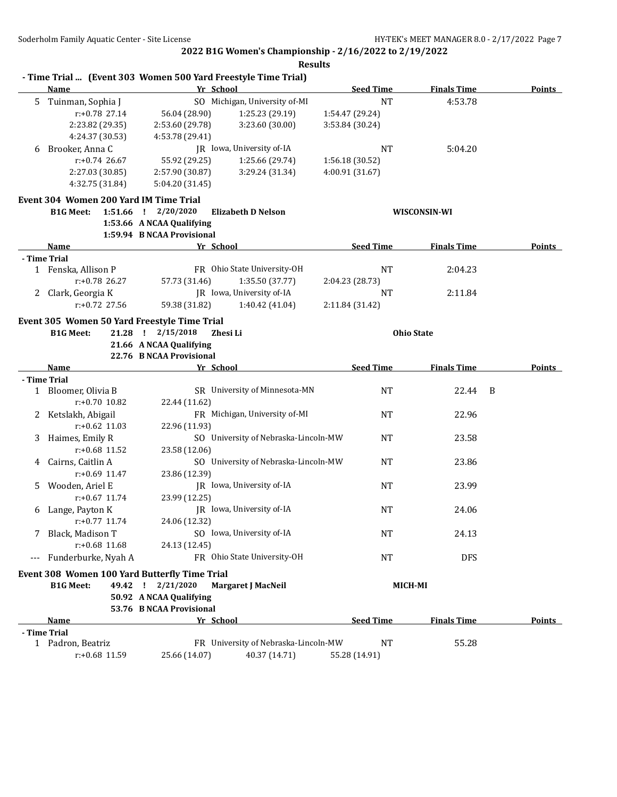**2022 B1G Women's Championship - 2/16/2022 to 2/19/2022 Results**

|   |                                        |                                                                    | - Time Trial  (Event 303 Women 500 Yard Freestyle Time Trial) |                  |                     |               |
|---|----------------------------------------|--------------------------------------------------------------------|---------------------------------------------------------------|------------------|---------------------|---------------|
|   | <b>Name</b>                            | Yr School                                                          |                                                               | <b>Seed Time</b> | <b>Finals Time</b>  | <b>Points</b> |
| 5 | Tuinman, Sophia J                      |                                                                    | SO Michigan, University of-MI                                 | <b>NT</b>        | 4:53.78             |               |
|   | $r: +0.78$ 27.14                       | 56.04 (28.90)                                                      | 1:25.23 (29.19)                                               | 1:54.47 (29.24)  |                     |               |
|   | 2:23.82 (29.35)                        | 2:53.60 (29.78)                                                    | 3:23.60 (30.00)                                               | 3:53.84 (30.24)  |                     |               |
|   | 4:24.37 (30.53)                        | 4:53.78 (29.41)                                                    |                                                               |                  |                     |               |
| 6 | Brooker, Anna C                        |                                                                    | JR Iowa, University of-IA                                     | NT               | 5:04.20             |               |
|   | $r: +0.74$ 26.67                       | 55.92 (29.25)                                                      | 1:25.66 (29.74)                                               | 1:56.18 (30.52)  |                     |               |
|   | 2:27.03 (30.85)                        | 2:57.90 (30.87)                                                    | 3:29.24 (31.34)                                               | 4:00.91 (31.67)  |                     |               |
|   | 4:32.75 (31.84)                        | 5:04.20 (31.45)                                                    |                                                               |                  |                     |               |
|   | Event 304 Women 200 Yard IM Time Trial |                                                                    |                                                               |                  |                     |               |
|   | <b>B1G Meet:</b>                       | 1:51.66 ! 2/20/2020                                                | <b>Elizabeth D Nelson</b>                                     |                  | <b>WISCONSIN-WI</b> |               |
|   |                                        | 1:53.66 A NCAA Qualifying                                          |                                                               |                  |                     |               |
|   |                                        | 1:59.94 B NCAA Provisional                                         |                                                               |                  |                     |               |
|   | Name                                   | Yr School                                                          |                                                               | <b>Seed Time</b> | <b>Finals Time</b>  | Points        |
|   | - Time Trial                           |                                                                    |                                                               |                  |                     |               |
|   | 1 Fenska, Allison P                    |                                                                    | FR Ohio State University-OH                                   | NT               | 2:04.23             |               |
|   | r:+0.78 26.27                          | 57.73 (31.46)                                                      | 1:35.50 (37.77)                                               | 2:04.23 (28.73)  |                     |               |
| 2 | Clark, Georgia K                       |                                                                    | JR Iowa, University of-IA                                     | NT               | 2:11.84             |               |
|   | $r: +0.72$ 27.56                       | 59.38 (31.82)                                                      | 1:40.42 (41.04)                                               | 2:11.84 (31.42)  |                     |               |
|   |                                        | Event 305 Women 50 Yard Freestyle Time Trial                       |                                                               |                  |                     |               |
|   | <b>B1G Meet:</b>                       | 21.28 ! 2/15/2018                                                  | Zhesi Li                                                      |                  | <b>Ohio State</b>   |               |
|   |                                        | 21.66 A NCAA Qualifying                                            |                                                               |                  |                     |               |
|   |                                        | 22.76 B NCAA Provisional                                           |                                                               |                  |                     |               |
|   | Name                                   | Yr School                                                          |                                                               | <b>Seed Time</b> | <b>Finals Time</b>  | Points        |
|   | - Time Trial                           |                                                                    |                                                               |                  |                     |               |
|   | 1 Bloomer, Olivia B                    |                                                                    | SR University of Minnesota-MN                                 | <b>NT</b>        | 22.44               | B             |
|   | $r: +0.70$ 10.82                       | 22.44 (11.62)                                                      |                                                               |                  |                     |               |
| 2 | Ketslakh, Abigail                      |                                                                    | FR Michigan, University of-MI                                 | NT               | 22.96               |               |
|   | $r: +0.62$ 11.03                       | 22.96 (11.93)                                                      |                                                               |                  |                     |               |
| 3 | Haimes, Emily R                        |                                                                    | SO University of Nebraska-Lincoln-MW                          | NT               | 23.58               |               |
|   | r:+0.68 11.52                          | 23.58 (12.06)                                                      |                                                               |                  |                     |               |
| 4 | Cairns, Caitlin A                      |                                                                    | SO University of Nebraska-Lincoln-MW                          | NT               | 23.86               |               |
|   | r:+0.69 11.47                          | 23.86 (12.39)                                                      |                                                               |                  |                     |               |
| 5 | Wooden, Ariel E                        |                                                                    | JR Iowa, University of-IA                                     | NT               | 23.99               |               |
|   | $r: +0.67$ 11.74                       | 23.99 (12.25)                                                      |                                                               |                  |                     |               |
| 6 | Lange, Payton K                        |                                                                    | JR Iowa, University of-IA                                     | NT               | 24.06               |               |
|   | $r: +0.77$ 11.74                       | 24.06 (12.32)                                                      |                                                               |                  |                     |               |
|   | Black, Madison T                       |                                                                    | SO Iowa, University of IA                                     | <b>NT</b>        | 24.13               |               |
|   | $r: +0.68$ 11.68                       | 24.13 (12.45)                                                      |                                                               |                  |                     |               |
|   | --- Funderburke, Nyah A                |                                                                    | FR Ohio State University-OH                                   | NT               | <b>DFS</b>          |               |
|   |                                        |                                                                    |                                                               |                  |                     |               |
|   | <b>B1G Meet:</b>                       | Event 308 Women 100 Yard Butterfly Time Trial<br>49.42 ! 2/21/2020 | Margaret J MacNeil                                            |                  | <b>MICH-MI</b>      |               |
|   |                                        |                                                                    |                                                               |                  |                     |               |
|   |                                        | 50.92 A NCAA Qualifying<br>53.76 B NCAA Provisional                |                                                               |                  |                     |               |
|   | <b>Name</b>                            | Yr School                                                          |                                                               | <b>Seed Time</b> | <b>Finals Time</b>  | <b>Points</b> |
|   | - Time Trial                           |                                                                    |                                                               |                  |                     |               |
|   | 1 Padron, Beatriz                      |                                                                    | FR University of Nebraska-Lincoln-MW                          | <b>NT</b>        | 55.28               |               |
|   | r:+0.68 11.59                          | 25.66 (14.07)                                                      | 40.37 (14.71)                                                 | 55.28 (14.91)    |                     |               |